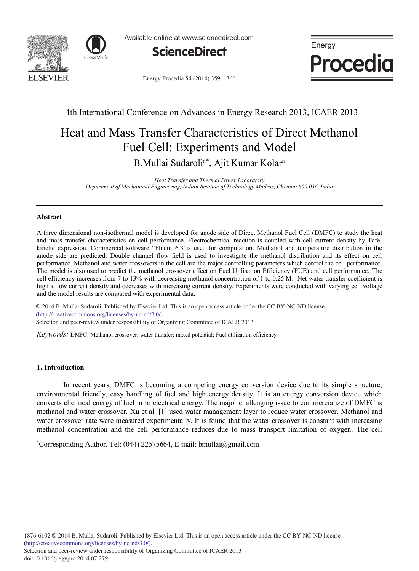



Available online at www.sciencedirect.com



Energy **Procedia** 

Energy Procedia 54 (2014) 359 - 366

# 4th International Conference on Advances in Energy Research 2013, ICAER 2013

# Heat and Mass Transfer Characteristics of Direct Methanol Fuel Cell: Experiments and Model

B.Mullai Sudaroli<sup>a\*</sup>, Ajit Kumar Kolar<sup>a</sup>

*a Heat Transfer and Thermal Power Laboratory, Department of Mechanical Engineering, Indian Institute of Technology Madras, Chennai 600 036, India*

#### **Abstract**

A three dimensional non-isothermal model is developed for anode side of Direct Methanol Fuel Cell (DMFC) to study the heat and mass transfer characteristics on cell performance. Electrochemical reaction is coupled with cell current density by Tafel kinetic expression. Commercial software "Fluent 6.3"is used for computation. Methanol and temperature distribution in the anode side are predicted. Double channel flow field is used to investigate the methanol distribution and its effect on cell performance. Methanol and water crossovers in the cell are the major controlling parameters which control the cell performance. The model is also used to predict the methanol crossover effect on Fuel Utilisation Efficiency (FUE) and cell performance. The cell efficiency increases from 7 to 13% with decreasing methanol concentration of 1 to 0.25 M. Net water transfer coefficient is high at low current density and decreases with increasing current density. Experiments were conducted with varying cell voltage and the model results are compared with experimental data.

© 2014 B. Mullai Sudaroli. Published by Elsevier Ltd. This is an open access article under the CC BY-NC-ND license Selection and peer-review under responsibility of Organizing Committee of ICAER 2013. Selection and peer-review under responsibility of Organizing Committee of ICAER 2013(http://creativecommons.org/licenses/by-nc-nd/3.0/).

*Keywords:* DMFC; Methanol crossover; water transfer; mixed potential; Fuel utilization efficiency

# **1. Introduction**

In recent years, DMFC is becoming a competing energy conversion device due to its simple structure, environmental friendly, easy handling of fuel and high energy density. It is an energy conversion device which converts chemical energy of fuel in to electrical energy. The major challenging issue to commercialize of DMFC is methanol and water crossover*.* Xu et al. [1] used water management layer to reduce water crossover. Methanol and water crossover rate were measured experimentally. It is found that the water crossover is constant with increasing methanol concentration and the cell performance reduces due to mass transport limitation of oxygen. The cell

\* Corresponding Author. Tel: (044) 22575664, E-mail: bmullai@gmail.com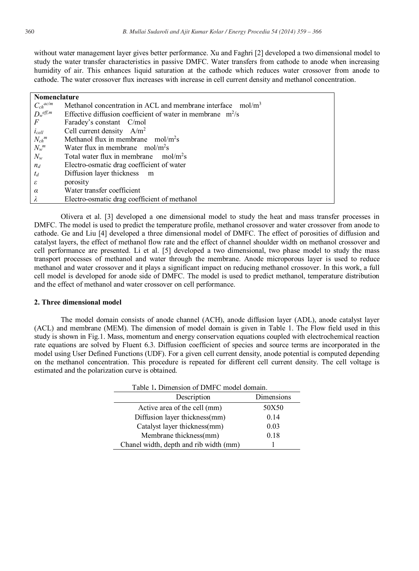without water management layer gives better performance. Xu and Faghri [2] developed a two dimensional model to study the water transfer characteristics in passive DMFC. Water transfers from cathode to anode when increasing humidity of air. This enhances liquid saturation at the cathode which reduces water crossover from anode to cathode. The water crossover flux increases with increase in cell current density and methanol concentration.

| <b>Nomenclature</b> |                                                                            |  |
|---------------------|----------------------------------------------------------------------------|--|
| $C_{ch}^{ac/m}$     | Methanol concentration in ACL and membrane interface<br>mol/m <sup>3</sup> |  |
| $D_w^{eff,m}$       | Effective diffusion coefficient of water in membrane $m^2/s$               |  |
| $\overline{F}$      | Faradey's constant C/mol                                                   |  |
| $i_{cell}$          | Cell current density $A/m^2$                                               |  |
| $N_{ch}^m$          | Methanol flux in membrane $mol/m2s$                                        |  |
| $N_{w}^{m}$         | Water flux in membrane $mol/m2s$                                           |  |
| $N_{w}$             | mol/m <sup>2</sup> s<br>Total water flux in membrane                       |  |
| $n_d$               | Electro-osmatic drag coefficient of water                                  |  |
| $t_d$               | Diffusion layer thickness m                                                |  |
| $\varepsilon$       | porosity                                                                   |  |
| $\alpha$            | Water transfer coefficient                                                 |  |
| λ                   | Electro-osmatic drag coefficient of methanol                               |  |

Olivera et al. [3] developed a one dimensional model to study the heat and mass transfer processes in DMFC. The model is used to predict the temperature profile, methanol crossover and water crossover from anode to cathode. Ge and Liu [4] developed a three dimensional model of DMFC. The effect of porosities of diffusion and catalyst layers, the effect of methanol flow rate and the effect of channel shoulder width on methanol crossover and cell performance are presented. Li et al. [5] developed a two dimensional, two phase model to study the mass transport processes of methanol and water through the membrane. Anode microporous layer is used to reduce methanol and water crossover and it plays a significant impact on reducing methanol crossover. In this work, a full cell model is developed for anode side of DMFC. The model is used to predict methanol, temperature distribution and the effect of methanol and water crossover on cell performance.

#### **2. Three dimensional model**

The model domain consists of anode channel (ACH), anode diffusion layer (ADL), anode catalyst layer (ACL) and membrane (MEM). The dimension of model domain is given in Table 1. The Flow field used in this study is shown in Fig.1. Mass, momentum and energy conservation equations coupled with electrochemical reaction rate equations are solved by Fluent 6.3. Diffusion coefficient of species and source terms are incorporated in the model using User Defined Functions (UDF). For a given cell current density, anode potential is computed depending on the methanol concentration. This procedure is repeated for different cell current density. The cell voltage is estimated and the polarization curve is obtained.

| Table 1. Dimension of DMFC model domain. |            |  |
|------------------------------------------|------------|--|
| Description                              | Dimensions |  |
| Active area of the cell (mm)             | 50X50      |  |
| Diffusion layer thickness(mm)            | 0.14       |  |
| Catalyst layer thickness(mm)             | 0.03       |  |
| Membrane thickness(mm)                   | 0.18       |  |
| Chanel width, depth and rib width (mm)   |            |  |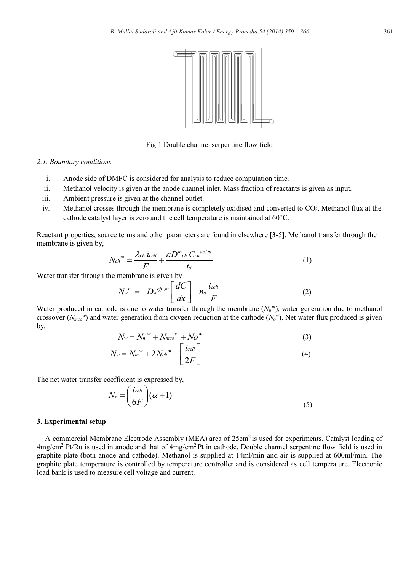

Fig.1 Double channel serpentine flow field

#### *2.1. Boundary conditions*

- i. Anode side of DMFC is considered for analysis to reduce computation time.
- ii. Methanol velocity is given at the anode channel inlet. Mass fraction of reactants is given as input.
- iii. Ambient pressure is given at the channel outlet.
- iv. Methanol crosses through the membrane is completely oxidised and converted to CO<sub>2</sub>. Methanol flux at the cathode catalyst layer is zero and the cell temperature is maintained at 60°C.

Reactant properties, source terms and other parameters are found in elsewhere [3-5]. Methanol transfer through the membrane is given by,

$$
N_{ch}^{m} = \frac{\lambda_{ch} i_{cell}}{F} + \frac{\varepsilon D^{m}{}_{ch} C_{ch}^{ac/m}}{t_{d}}
$$
 (1)

Water transfer through the membrane is given by

$$
N_w^m = -D_w^{eff,m} \left[ \frac{dC}{dx} \right] + n_d \frac{i_{cell}}{F}
$$
 (2)

Water produced in cathode is due to water transfer through the membrane  $(N_w^m)$ , water generation due to methanol crossover ( $N_{mco}$ <sup>*w*</sup>) and water generation from oxygen reduction at the cathode ( $N_o$ <sup>*w*</sup>). Net water flux produced is given by,

$$
N_w = N_m^{\ w} + N_{mco}^{\ w} + N o^{\ w} \tag{3}
$$

$$
N_w = N_m^w + 2N_{ch}^m + \left[\frac{i_{cell}}{2F}\right]
$$
 (4)

The net water transfer coefficient is expressed by,

$$
N_w = \left(\frac{i_{cell}}{6F}\right)(\alpha + 1) \tag{5}
$$

#### **3. Experimental setup**

A commercial Membrane Electrode Assembly (MEA) area of 25cm<sup>2</sup> is used for experiments. Catalyst loading of 4mg/cm2 Pt/Ru is used in anode and that of 4mg/cm2 Pt in cathode. Double channel serpentine flow field is used in graphite plate (both anode and cathode). Methanol is supplied at 14ml/min and air is supplied at 600ml/min. The graphite plate temperature is controlled by temperature controller and is considered as cell temperature. Electronic load bank is used to measure cell voltage and current.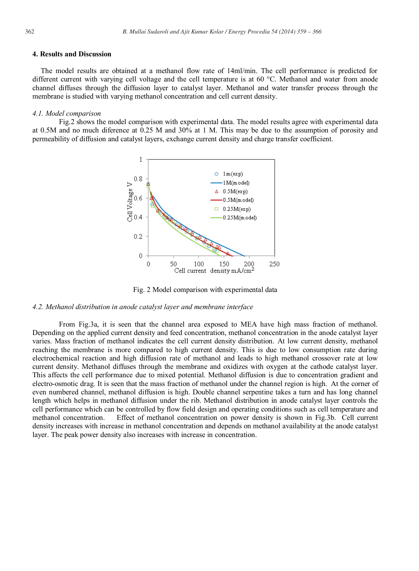## **4. Results and Discussion**

The model results are obtained at a methanol flow rate of 14ml/min. The cell performance is predicted for different current with varying cell voltage and the cell temperature is at 60 °C. Methanol and water from anode channel diffuses through the diffusion layer to catalyst layer. Methanol and water transfer process through the membrane is studied with varying methanol concentration and cell current density.

#### *4.1. Model comparison*

Fig.2 shows the model comparison with experimental data. The model results agree with experimental data at 0.5M and no much diference at 0.25 M and 30% at 1 M. This may be due to the assumption of porosity and permeability of diffusion and catalyst layers, exchange current density and charge transfer coefficient.



Fig. 2 Model comparison with experimental data

# *4.2. Methanol distribution in anode catalyst layer and membrane interface*

From Fig.3a, it is seen that the channel area exposed to MEA have high mass fraction of methanol. Depending on the applied current density and feed concentration, methanol concentration in the anode catalyst layer varies. Mass fraction of methanol indicates the cell current density distribution. At low current density, methanol reaching the membrane is more compared to high current density. This is due to low consumption rate during electrochemical reaction and high diffusion rate of methanol and leads to high methanol crossover rate at low current density. Methanol diffuses through the membrane and oxidizes with oxygen at the cathode catalyst layer. This affects the cell performance due to mixed potential. Methanol diffusion is due to concentration gradient and electro-osmotic drag. It is seen that the mass fraction of methanol under the channel region is high. At the corner of even numbered channel, methanol diffusion is high. Double channel serpentine takes a turn and has long channel length which helps in methanol diffusion under the rib. Methanol distribution in anode catalyst layer controls the cell performance which can be controlled by flow field design and operating conditions such as cell temperature and methanol concentration. Effect of methanol concentration on power density is shown in Fig.3b. Cell current density increases with increase in methanol concentration and depends on methanol availability at the anode catalyst layer. The peak power density also increases with increase in concentration.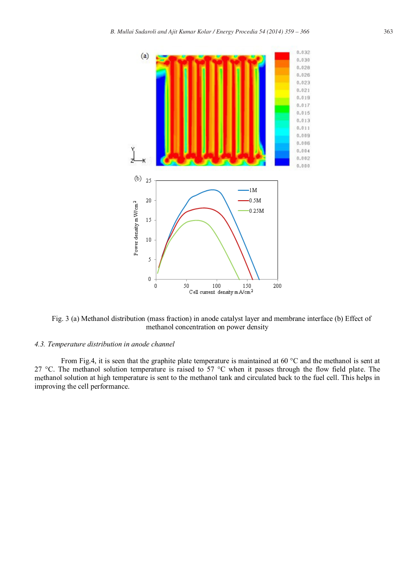

Fig. 3 (a) Methanol distribution (mass fraction) in anode catalyst layer and membrane interface (b) Effect of methanol concentration on power density

# *4.3. Temperature distribution in anode channel*

From Fig.4, it is seen that the graphite plate temperature is maintained at 60  $^{\circ}$ C and the methanol is sent at 27 °C. The methanol solution temperature is raised to 57 °C when it passes through the flow field plate. The methanol solution at high temperature is sent to the methanol tank and circulated back to the fuel cell. This helps in improving the cell performance.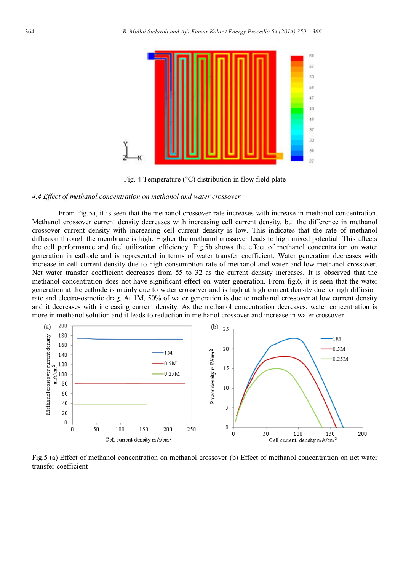

Fig. 4 Temperature (°C) distribution in flow field plate

#### *4.4 Effect of methanol concentration on methanol and water crossover*

From Fig.5a, it is seen that the methanol crossover rate increases with increase in methanol concentration. Methanol crossover current density decreases with increasing cell current density, but the difference in methanol crossover current density with increasing cell current density is low. This indicates that the rate of methanol diffusion through the membrane is high. Higher the methanol crossover leads to high mixed potential. This affects the cell performance and fuel utilization efficiency. Fig.5b shows the effect of methanol concentration on water generation in cathode and is represented in terms of water transfer coefficient. Water generation decreases with increase in cell current density due to high consumption rate of methanol and water and low methanol crossover. Net water transfer coefficient decreases from 55 to 32 as the current density increases. It is observed that the methanol concentration does not have significant effect on water generation. From fig.6, it is seen that the water generation at the cathode is mainly due to water crossover and is high at high current density due to high diffusion rate and electro-osmotic drag. At 1M, 50% of water generation is due to methanol crossover at low current density and it decreases with increasing current density. As the methanol concentration decreases, water concentration is more in methanol solution and it leads to reduction in methanol crossover and increase in water crossover.



Fig.5 (a) Effect of methanol concentration on methanol crossover (b) Effect of methanol concentration on net water transfer coefficient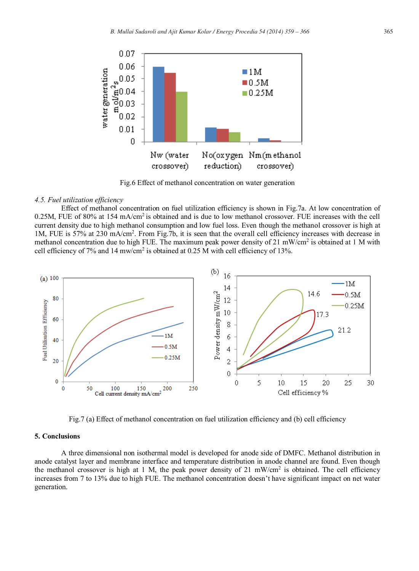

Fig.6 Effect of methanol concentration on water generation

#### *4.5. Fuel utilization efficiency*

Effect of methanol concentration on fuel utilization efficiency is shown in Fig.7a. At low concentration of 0.25M, FUE of 80% at 154 mA/cm2 is obtained and is due to low methanol crossover. FUE increases with the cell current density due to high methanol consumption and low fuel loss. Even though the methanol crossover is high at 1M, FUE is 57% at 230 mA/cm<sup>2</sup>. From Fig.7b, it is seen that the overall cell efficiency increases with decrease in methanol concentration due to high FUE. The maximum peak power density of 21 mW/cm<sup>2</sup> is obtained at 1 M with cell efficiency of 7% and 14 mw/cm<sup>2</sup> is obtained at 0.25 M with cell efficiency of 13%.



Fig.7 (a) Effect of methanol concentration on fuel utilization efficiency and (b) cell efficiency

#### **5. Conclusions**

A three dimensional non isothermal model is developed for anode side of DMFC. Methanol distribution in anode catalyst layer and membrane interface and temperature distribution in anode channel are found. Even though the methanol crossover is high at 1 M, the peak power density of 21 mW/cm<sup>2</sup> is obtained. The cell efficiency increases from 7 to 13% due to high FUE. The methanol concentration doesn't have significant impact on net water generation.